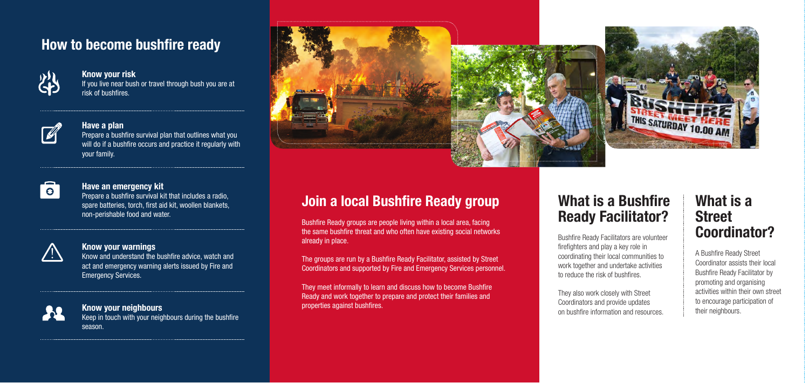# **What is a Bushfire Ready Facilitator?**



Bushfire Ready Facilitators are volunteer firefighters and play a key role in coordinating their local communities to work together and undertake activities to reduce the risk of bushfires.

They also work closely with Street Coordinators and provide updates on bushfire information and resources.

# **How to become bushfire ready**



#### **Know your risk**

If you live near bush or travel through bush you are at risk of bushfires.



#### **Have a plan**

Prepare a bushfire survival plan that outlines what you will do if a bushfire occurs and practice it regularly with your family.



#### **Have an emergency kit**

The groups are run by a Bushfire Ready Facilitator, assisted by Street Coordinators and supported by Fire and Emergency Services personnel.

Prepare a bushfire survival kit that includes a radio, spare batteries, torch, first aid kit, woollen blankets, non-perishable food and water.



#### **Know your warnings**

Know and understand the bushfire advice, watch and act and emergency warning alerts issued by Fire and Emergency Services.



### **Know your neighbours**

Keep in touch with your neighbours during the bushfire season.





Bushfire Ready groups are people living within a local area, facing the same bushfire threat and who often have existing social networks already in place.

They meet informally to learn and discuss how to become Bushfire Ready and work together to prepare and protect their families and properties against bushfires.

# **What is a Street Coordinator?**

A Bushfire Ready Street Coordinator assists their local Bushfire Ready Facilitator by promoting and organising activities within their own street to encourage participation of their neighbours.